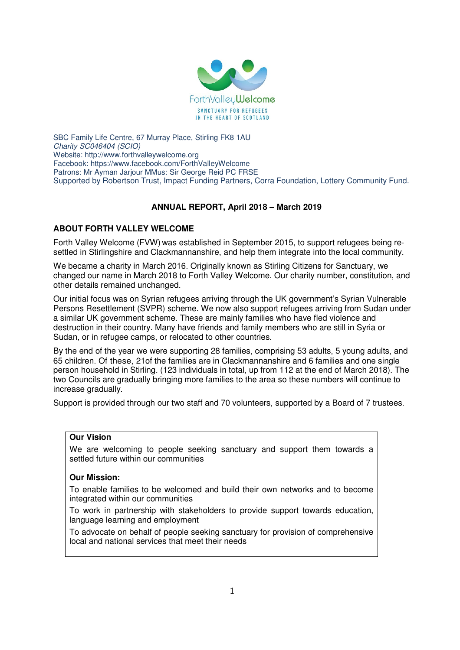

SBC Family Life Centre, 67 Murray Place, Stirling FK8 1AU Charity SC046404 (SCIO) Website: http://www.forthvalleywelcome.org Facebook: https://www.facebook.com/ForthValleyWelcome Patrons: Mr Ayman Jarjour MMus: Sir George Reid PC FRSE Supported by Robertson Trust, Impact Funding Partners, Corra Foundation, Lottery Community Fund.

# **ANNUAL REPORT, April 2018 – March 2019**

# **ABOUT FORTH VALLEY WELCOME**

Forth Valley Welcome (FVW) was established in September 2015, to support refugees being resettled in Stirlingshire and Clackmannanshire, and help them integrate into the local community.

We became a charity in March 2016. Originally known as Stirling Citizens for Sanctuary, we changed our name in March 2018 to Forth Valley Welcome. Our charity number, constitution, and other details remained unchanged.

Our initial focus was on Syrian refugees arriving through the UK government's Syrian Vulnerable Persons Resettlement (SVPR) scheme. We now also support refugees arriving from Sudan under a similar UK government scheme. These are mainly families who have fled violence and destruction in their country. Many have friends and family members who are still in Syria or Sudan, or in refugee camps, or relocated to other countries.

By the end of the year we were supporting 28 families, comprising 53 adults, 5 young adults, and 65 children. Of these, 21of the families are in Clackmannanshire and 6 families and one single person household in Stirling. (123 individuals in total, up from 112 at the end of March 2018). The two Councils are gradually bringing more families to the area so these numbers will continue to increase gradually.

Support is provided through our two staff and 70 volunteers, supported by a Board of 7 trustees.

# **Our Vision**

We are welcoming to people seeking sanctuary and support them towards a settled future within our communities

# **Our Mission:**

To enable families to be welcomed and build their own networks and to become integrated within our communities

To work in partnership with stakeholders to provide support towards education, language learning and employment

To advocate on behalf of people seeking sanctuary for provision of comprehensive local and national services that meet their needs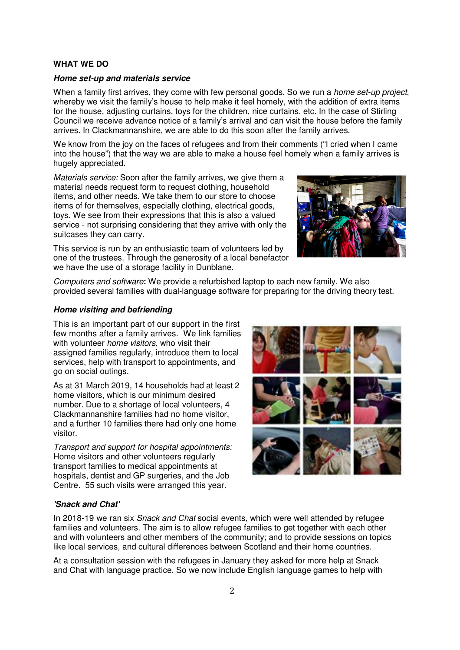# **WHAT WE DO**

#### **Home set-up and materials service**

When a family first arrives, they come with few personal goods. So we run a *home set-up project*, whereby we visit the family's house to help make it feel homely, with the addition of extra items for the house, adjusting curtains, toys for the children, nice curtains, etc. In the case of Stirling Council we receive advance notice of a family's arrival and can visit the house before the family arrives. In Clackmannanshire, we are able to do this soon after the family arrives.

We know from the joy on the faces of refugees and from their comments ("I cried when I came into the house") that the way we are able to make a house feel homely when a family arrives is hugely appreciated.

Materials service: Soon after the family arrives, we give them a material needs request form to request clothing, household items, and other needs. We take them to our store to choose items of for themselves, especially clothing, electrical goods, toys. We see from their expressions that this is also a valued service - not surprising considering that they arrive with only the suitcases they can carry.



This service is run by an enthusiastic team of volunteers led by one of the trustees. Through the generosity of a local benefactor we have the use of a storage facility in Dunblane.

Computers and software**:** We provide a refurbished laptop to each new family. We also provided several families with dual-language software for preparing for the driving theory test.

### **Home visiting and befriending**

This is an important part of our support in the first few months after a family arrives. We link families with volunteer *home visitors*, who visit their assigned families regularly, introduce them to local services, help with transport to appointments, and go on social outings.

As at 31 March 2019, 14 households had at least 2 home visitors, which is our minimum desired number. Due to a shortage of local volunteers, 4 Clackmannanshire families had no home visitor, and a further 10 families there had only one home visitor.

Transport and support for hospital appointments: Home visitors and other volunteers regularly transport families to medical appointments at hospitals, dentist and GP surgeries, and the Job Centre. 55 such visits were arranged this year.



# **'Snack and Chat'**

In 2018-19 we ran six Snack and Chat social events, which were well attended by refugee families and volunteers. The aim is to allow refugee families to get together with each other and with volunteers and other members of the community; and to provide sessions on topics like local services, and cultural differences between Scotland and their home countries.

At a consultation session with the refugees in January they asked for more help at Snack and Chat with language practice. So we now include English language games to help with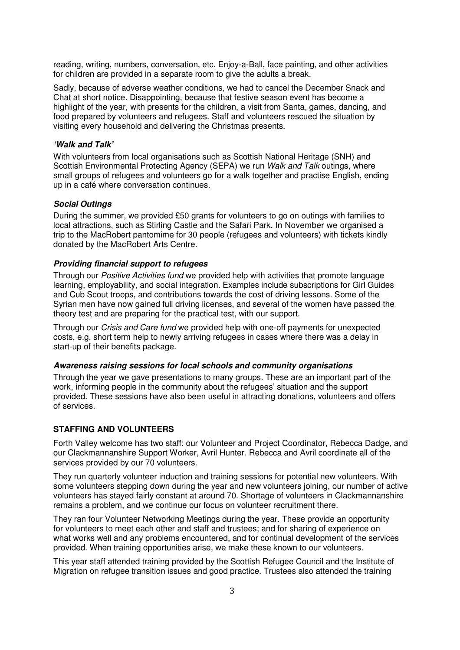reading, writing, numbers, conversation, etc. Enjoy-a-Ball, face painting, and other activities for children are provided in a separate room to give the adults a break.

Sadly, because of adverse weather conditions, we had to cancel the December Snack and Chat at short notice. Disappointing, because that festive season event has become a highlight of the year, with presents for the children, a visit from Santa, games, dancing, and food prepared by volunteers and refugees. Staff and volunteers rescued the situation by visiting every household and delivering the Christmas presents.

### **'Walk and Talk'**

With volunteers from local organisations such as Scottish National Heritage (SNH) and Scottish Environmental Protecting Agency (SEPA) we run Walk and Talk outings, where small groups of refugees and volunteers go for a walk together and practise English, ending up in a café where conversation continues.

## **Social Outings**

During the summer, we provided £50 grants for volunteers to go on outings with families to local attractions, such as Stirling Castle and the Safari Park. In November we organised a trip to the MacRobert pantomime for 30 people (refugees and volunteers) with tickets kindly donated by the MacRobert Arts Centre.

#### **Providing financial support to refugees**

Through our Positive Activities fund we provided help with activities that promote language learning, employability, and social integration. Examples include subscriptions for Girl Guides and Cub Scout troops, and contributions towards the cost of driving lessons. Some of the Syrian men have now gained full driving licenses, and several of the women have passed the theory test and are preparing for the practical test, with our support.

Through our Crisis and Care fund we provided help with one-off payments for unexpected costs, e.g. short term help to newly arriving refugees in cases where there was a delay in start-up of their benefits package.

#### **Awareness raising sessions for local schools and community organisations**

Through the year we gave presentations to many groups. These are an important part of the work, informing people in the community about the refugees' situation and the support provided. These sessions have also been useful in attracting donations, volunteers and offers of services.

### **STAFFING AND VOLUNTEERS**

Forth Valley welcome has two staff: our Volunteer and Project Coordinator, Rebecca Dadge, and our Clackmannanshire Support Worker, Avril Hunter. Rebecca and Avril coordinate all of the services provided by our 70 volunteers.

They run quarterly volunteer induction and training sessions for potential new volunteers. With some volunteers stepping down during the year and new volunteers joining, our number of active volunteers has stayed fairly constant at around 70. Shortage of volunteers in Clackmannanshire remains a problem, and we continue our focus on volunteer recruitment there.

They ran four Volunteer Networking Meetings during the year. These provide an opportunity for volunteers to meet each other and staff and trustees; and for sharing of experience on what works well and any problems encountered, and for continual development of the services provided. When training opportunities arise, we make these known to our volunteers.

This year staff attended training provided by the Scottish Refugee Council and the Institute of Migration on refugee transition issues and good practice. Trustees also attended the training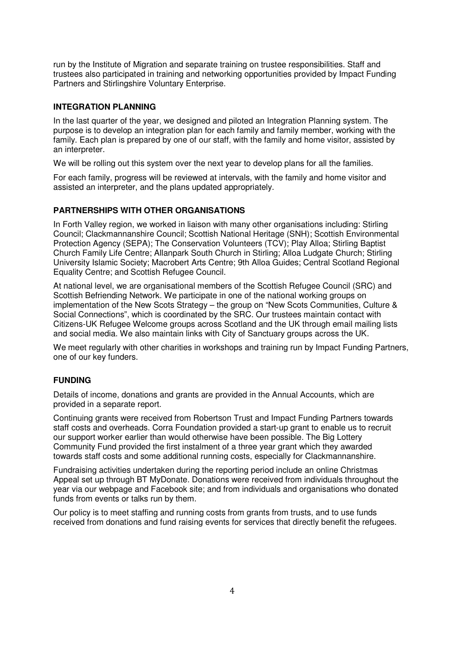run by the Institute of Migration and separate training on trustee responsibilities. Staff and trustees also participated in training and networking opportunities provided by Impact Funding Partners and Stirlingshire Voluntary Enterprise.

# **INTEGRATION PLANNING**

In the last quarter of the year, we designed and piloted an Integration Planning system. The purpose is to develop an integration plan for each family and family member, working with the family. Each plan is prepared by one of our staff, with the family and home visitor, assisted by an interpreter.

We will be rolling out this system over the next year to develop plans for all the families.

For each family, progress will be reviewed at intervals, with the family and home visitor and assisted an interpreter, and the plans updated appropriately.

# **PARTNERSHIPS WITH OTHER ORGANISATIONS**

In Forth Valley region, we worked in liaison with many other organisations including: Stirling Council; Clackmannanshire Council; Scottish National Heritage (SNH); Scottish Environmental Protection Agency (SEPA); The Conservation Volunteers (TCV); Play Alloa; Stirling Baptist Church Family Life Centre; Allanpark South Church in Stirling; Alloa Ludgate Church; Stirling University Islamic Society; Macrobert Arts Centre; 9th Alloa Guides; Central Scotland Regional Equality Centre; and Scottish Refugee Council.

At national level, we are organisational members of the Scottish Refugee Council (SRC) and Scottish Befriending Network. We participate in one of the national working groups on implementation of the New Scots Strategy – the group on "New Scots Communities, Culture & Social Connections", which is coordinated by the SRC. Our trustees maintain contact with Citizens-UK Refugee Welcome groups across Scotland and the UK through email mailing lists and social media. We also maintain links with City of Sanctuary groups across the UK.

We meet regularly with other charities in workshops and training run by Impact Funding Partners, one of our key funders.

## **FUNDING**

Details of income, donations and grants are provided in the Annual Accounts, which are provided in a separate report.

Continuing grants were received from Robertson Trust and Impact Funding Partners towards staff costs and overheads. Corra Foundation provided a start-up grant to enable us to recruit our support worker earlier than would otherwise have been possible. The Big Lottery Community Fund provided the first instalment of a three year grant which they awarded towards staff costs and some additional running costs, especially for Clackmannanshire.

Fundraising activities undertaken during the reporting period include an online Christmas Appeal set up through BT MyDonate. Donations were received from individuals throughout the year via our webpage and Facebook site; and from individuals and organisations who donated funds from events or talks run by them.

Our policy is to meet staffing and running costs from grants from trusts, and to use funds received from donations and fund raising events for services that directly benefit the refugees.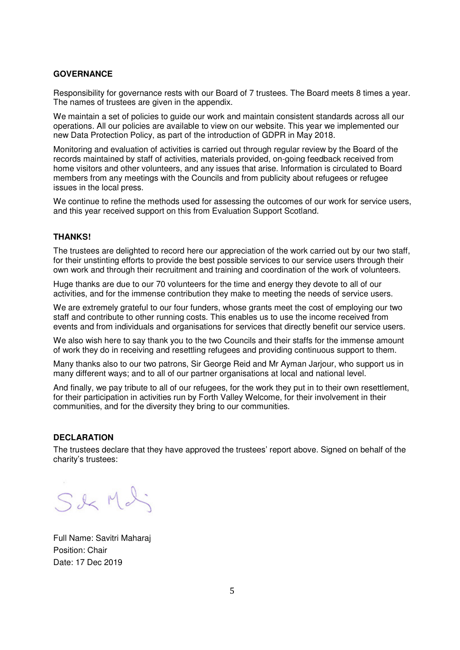## **GOVERNANCE**

Responsibility for governance rests with our Board of 7 trustees. The Board meets 8 times a year. The names of trustees are given in the appendix.

We maintain a set of policies to guide our work and maintain consistent standards across all our operations. All our policies are available to view on our website. This year we implemented our new Data Protection Policy, as part of the introduction of GDPR in May 2018.

Monitoring and evaluation of activities is carried out through regular review by the Board of the records maintained by staff of activities, materials provided, on-going feedback received from home visitors and other volunteers, and any issues that arise. Information is circulated to Board members from any meetings with the Councils and from publicity about refugees or refugee issues in the local press.

We continue to refine the methods used for assessing the outcomes of our work for service users, and this year received support on this from Evaluation Support Scotland.

### **THANKS!**

The trustees are delighted to record here our appreciation of the work carried out by our two staff, for their unstinting efforts to provide the best possible services to our service users through their own work and through their recruitment and training and coordination of the work of volunteers.

Huge thanks are due to our 70 volunteers for the time and energy they devote to all of our activities, and for the immense contribution they make to meeting the needs of service users.

We are extremely grateful to our four funders, whose grants meet the cost of employing our two staff and contribute to other running costs. This enables us to use the income received from events and from individuals and organisations for services that directly benefit our service users.

We also wish here to say thank you to the two Councils and their staffs for the immense amount of work they do in receiving and resettling refugees and providing continuous support to them.

Many thanks also to our two patrons, Sir George Reid and Mr Ayman Jarjour, who support us in many different ways; and to all of our partner organisations at local and national level.

And finally, we pay tribute to all of our refugees, for the work they put in to their own resettlement, for their participation in activities run by Forth Valley Welcome, for their involvement in their communities, and for the diversity they bring to our communities.

### **DECLARATION**

The trustees declare that they have approved the trustees' report above. Signed on behalf of the charity's trustees:

S&Md

Full Name: Savitri Maharaj Position: Chair Date: 17 Dec 2019